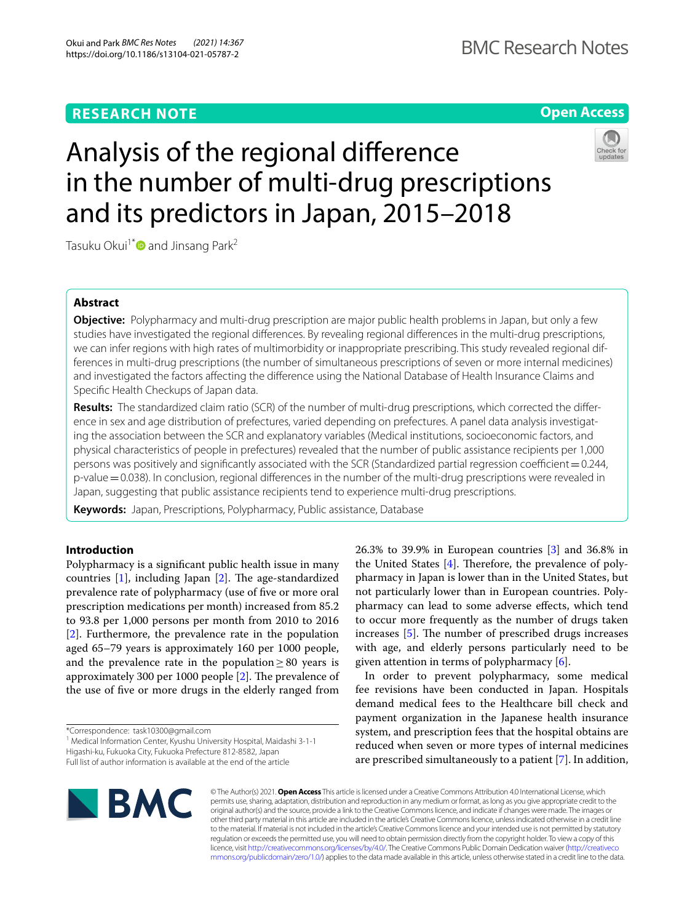# **RESEARCH NOTE**

# **Open Access**



# Analysis of the regional diference in the number of multi-drug prescriptions and its predictors in Japan, 2015–2018

Tasuku Okui<sup>1[\\*](http://orcid.org/0000-0001-5098-8502)</sup> and Jinsang Park<sup>2</sup>

# **Abstract**

**Objective:** Polypharmacy and multi-drug prescription are major public health problems in Japan, but only a few studies have investigated the regional diferences. By revealing regional diferences in the multi-drug prescriptions, we can infer regions with high rates of multimorbidity or inappropriate prescribing. This study revealed regional differences in multi-drug prescriptions (the number of simultaneous prescriptions of seven or more internal medicines) and investigated the factors afecting the diference using the National Database of Health Insurance Claims and Specifc Health Checkups of Japan data.

**Results:** The standardized claim ratio (SCR) of the number of multi-drug prescriptions, which corrected the diference in sex and age distribution of prefectures, varied depending on prefectures. A panel data analysis investigating the association between the SCR and explanatory variables (Medical institutions, socioeconomic factors, and physical characteristics of people in prefectures) revealed that the number of public assistance recipients per 1,000 persons was positively and significantly associated with the SCR (Standardized partial regression coefficient =  $0.244$ , p-value=0.038). In conclusion, regional diferences in the number of the multi-drug prescriptions were revealed in Japan, suggesting that public assistance recipients tend to experience multi-drug prescriptions.

**Keywords:** Japan, Prescriptions, Polypharmacy, Public assistance, Database

# **Introduction**

Polypharmacy is a signifcant public health issue in many countries  $[1]$  $[1]$ , including Japan  $[2]$  $[2]$ . The age-standardized prevalence rate of polypharmacy (use of fve or more oral prescription medications per month) increased from 85.2 to 93.8 per 1,000 persons per month from 2010 to 2016 [[2\]](#page-6-1). Furthermore, the prevalence rate in the population aged 65–79 years is approximately 160 per 1000 people, and the prevalence rate in the population  $\geq 80$  years is approximately 300 per 1000 people  $[2]$  $[2]$  $[2]$ . The prevalence of the use of fve or more drugs in the elderly ranged from

\*Correspondence: task10300@gmail.com

<sup>1</sup> Medical Information Center, Kyushu University Hospital, Maidashi 3-1-1 Higashi-ku, Fukuoka City, Fukuoka Prefecture 812-8582, Japan Full list of author information is available at the end of the article

26.3% to 39.9% in European countries [\[3](#page-6-2)] and 36.8% in the United States  $[4]$  $[4]$ . Therefore, the prevalence of polypharmacy in Japan is lower than in the United States, but not particularly lower than in European countries. Polypharmacy can lead to some adverse efects, which tend to occur more frequently as the number of drugs taken increases  $[5]$  $[5]$ . The number of prescribed drugs increases with age, and elderly persons particularly need to be given attention in terms of polypharmacy [[6\]](#page-6-5).

In order to prevent polypharmacy, some medical fee revisions have been conducted in Japan. Hospitals demand medical fees to the Healthcare bill check and payment organization in the Japanese health insurance system, and prescription fees that the hospital obtains are reduced when seven or more types of internal medicines are prescribed simultaneously to a patient [\[7](#page-6-6)]. In addition,



© The Author(s) 2021. **Open Access** This article is licensed under a Creative Commons Attribution 4.0 International License, which permits use, sharing, adaptation, distribution and reproduction in any medium or format, as long as you give appropriate credit to the original author(s) and the source, provide a link to the Creative Commons licence, and indicate if changes were made. The images or other third party material in this article are included in the article's Creative Commons licence, unless indicated otherwise in a credit line to the material. If material is not included in the article's Creative Commons licence and your intended use is not permitted by statutory regulation or exceeds the permitted use, you will need to obtain permission directly from the copyright holder. To view a copy of this licence, visit [http://creativecommons.org/licenses/by/4.0/.](http://creativecommons.org/licenses/by/4.0/) The Creative Commons Public Domain Dedication waiver ([http://creativeco](http://creativecommons.org/publicdomain/zero/1.0/) [mmons.org/publicdomain/zero/1.0/](http://creativecommons.org/publicdomain/zero/1.0/)) applies to the data made available in this article, unless otherwise stated in a credit line to the data.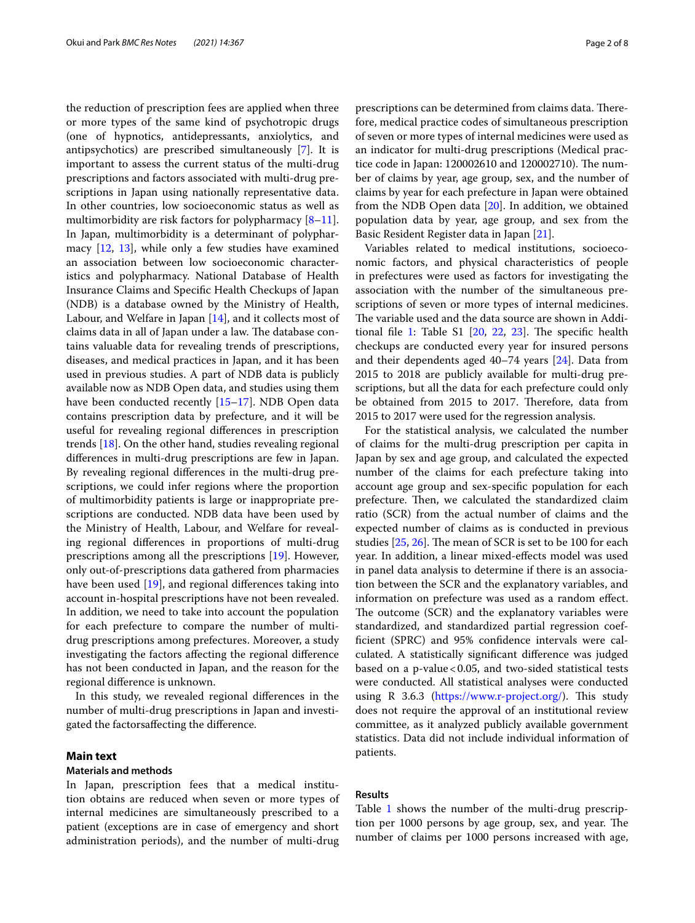the reduction of prescription fees are applied when three or more types of the same kind of psychotropic drugs (one of hypnotics, antidepressants, anxiolytics, and antipsychotics) are prescribed simultaneously [\[7\]](#page-6-6). It is important to assess the current status of the multi-drug prescriptions and factors associated with multi-drug prescriptions in Japan using nationally representative data. In other countries, low socioeconomic status as well as multimorbidity are risk factors for polypharmacy  $[8-11]$  $[8-11]$ . In Japan, multimorbidity is a determinant of polypharmacy [[12,](#page-6-9) [13\]](#page-6-10), while only a few studies have examined an association between low socioeconomic characteristics and polypharmacy. National Database of Health Insurance Claims and Specifc Health Checkups of Japan (NDB) is a database owned by the Ministry of Health, Labour, and Welfare in Japan [[14\]](#page-6-11), and it collects most of claims data in all of Japan under a law. The database contains valuable data for revealing trends of prescriptions, diseases, and medical practices in Japan, and it has been used in previous studies. A part of NDB data is publicly available now as NDB Open data, and studies using them have been conducted recently [[15–](#page-6-12)[17\]](#page-6-13). NDB Open data contains prescription data by prefecture, and it will be useful for revealing regional diferences in prescription trends [\[18](#page-6-14)]. On the other hand, studies revealing regional diferences in multi-drug prescriptions are few in Japan. By revealing regional diferences in the multi-drug prescriptions, we could infer regions where the proportion of multimorbidity patients is large or inappropriate prescriptions are conducted. NDB data have been used by the Ministry of Health, Labour, and Welfare for revealing regional diferences in proportions of multi-drug prescriptions among all the prescriptions [[19\]](#page-6-15). However, only out-of-prescriptions data gathered from pharmacies have been used [\[19](#page-6-15)], and regional diferences taking into account in-hospital prescriptions have not been revealed. In addition, we need to take into account the population for each prefecture to compare the number of multidrug prescriptions among prefectures. Moreover, a study investigating the factors afecting the regional diference has not been conducted in Japan, and the reason for the regional diference is unknown.

In this study, we revealed regional diferences in the number of multi-drug prescriptions in Japan and investigated the factorsafecting the diference.

# **Main text**

## **Materials and methods**

In Japan, prescription fees that a medical institution obtains are reduced when seven or more types of internal medicines are simultaneously prescribed to a patient (exceptions are in case of emergency and short administration periods), and the number of multi-drug prescriptions can be determined from claims data. Therefore, medical practice codes of simultaneous prescription of seven or more types of internal medicines were used as an indicator for multi-drug prescriptions (Medical practice code in Japan: 120002610 and 120002710). The number of claims by year, age group, sex, and the number of claims by year for each prefecture in Japan were obtained from the NDB Open data [\[20\]](#page-6-16). In addition, we obtained population data by year, age group, and sex from the Basic Resident Register data in Japan [\[21\]](#page-6-17).

Variables related to medical institutions, socioeconomic factors, and physical characteristics of people in prefectures were used as factors for investigating the association with the number of the simultaneous prescriptions of seven or more types of internal medicines. The variable used and the data source are shown in Addi-tional file [1](#page-5-0): Table  $S1$   $[20, 22, 23]$  $[20, 22, 23]$  $[20, 22, 23]$  $[20, 22, 23]$  $[20, 22, 23]$  $[20, 22, 23]$ . The specific health checkups are conducted every year for insured persons and their dependents aged 40–74 years [[24\]](#page-6-20). Data from 2015 to 2018 are publicly available for multi-drug prescriptions, but all the data for each prefecture could only be obtained from 2015 to 2017. Therefore, data from 2015 to 2017 were used for the regression analysis.

For the statistical analysis, we calculated the number of claims for the multi-drug prescription per capita in Japan by sex and age group, and calculated the expected number of the claims for each prefecture taking into account age group and sex-specifc population for each prefecture. Then, we calculated the standardized claim ratio (SCR) from the actual number of claims and the expected number of claims as is conducted in previous studies  $[25, 26]$  $[25, 26]$  $[25, 26]$ . The mean of SCR is set to be 100 for each year. In addition, a linear mixed-efects model was used in panel data analysis to determine if there is an association between the SCR and the explanatory variables, and information on prefecture was used as a random efect. The outcome (SCR) and the explanatory variables were standardized, and standardized partial regression coeffcient (SPRC) and 95% confdence intervals were calculated. A statistically signifcant diference was judged based on a p-value  $< 0.05$ , and two-sided statistical tests were conducted. All statistical analyses were conducted using R 3.6.3 ([https://www.r-project.org/\)](https://www.r-project.org/). This study does not require the approval of an institutional review committee, as it analyzed publicly available government statistics. Data did not include individual information of patients.

# **Results**

Table [1](#page-2-0) shows the number of the multi-drug prescription per 1000 persons by age group, sex, and year. The number of claims per 1000 persons increased with age,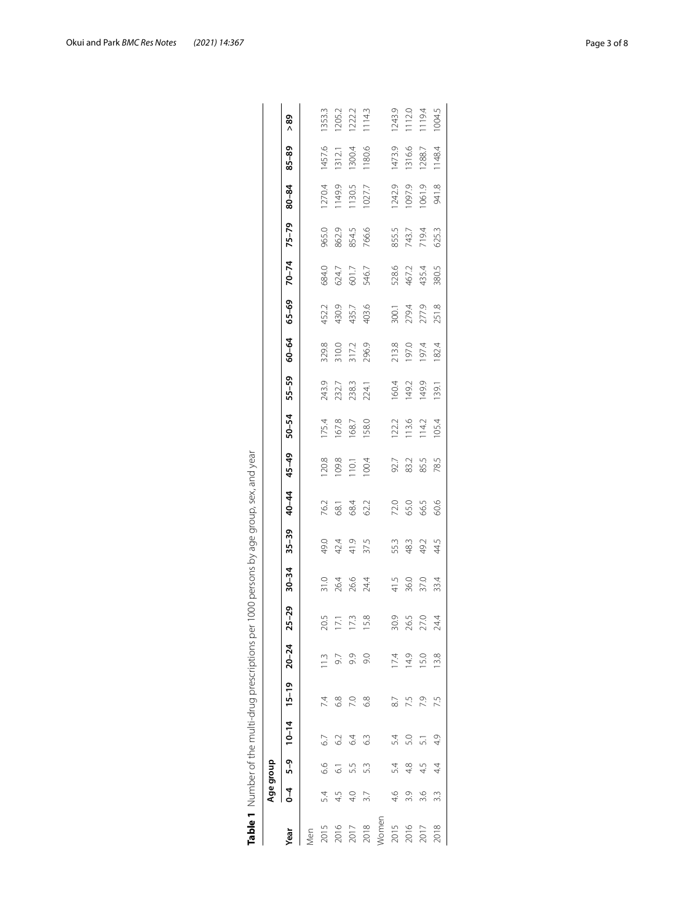|       |         | Age group       |                               |               |      |           |           |           |       |       |       |       |       |       |           |           |           |           |        |
|-------|---------|-----------------|-------------------------------|---------------|------|-----------|-----------|-----------|-------|-------|-------|-------|-------|-------|-----------|-----------|-----------|-----------|--------|
| Year  | $0 - 4$ |                 | $5-9$ $10-14$ $15-19$ $20-24$ |               |      | $25 - 29$ | $30 - 34$ | $35 - 39$ | 40-44 | 45-49 | 50-54 | 55-59 | 60-64 | 65-69 | $70 - 74$ | $75 - 79$ | $80 - 84$ | $85 - 89$ | 89     |
| Vlen  |         |                 |                               |               |      |           |           |           |       |       |       |       |       |       |           |           |           |           |        |
| 2015  | 5.4     | 6.6             | 67                            | 7.4           | 11.3 | ∽.<br>R   | 31.0      | 49.0      | 76.2  | 120.8 | 175.4 | 243.9 | 329.8 | 452.2 | 684.0     | 965.0     | 1270.4    | 1457.6    | 1353.3 |
| 2016  | 4.5     | $\overline{61}$ | 62                            | $\frac{8}{6}$ | 9.7  | 17.1      | 26.4      | 42.4      | 68.1  | 109.8 | 167.8 | 232.7 | 310.0 | 430.9 | 624.7     | 862.9     | 1149.9    | 1312.1    | 1205.2 |
| 2017  | 4.0     | 5.5             | 64                            | 7.0           | 9.9  | Ċ.        | 26.6      | 41.9      | 68.4  | 110.1 | 68.7  | 238.3 | 317.2 | 435.7 | 601.7     | 854.5     | 130.5     | 1300.4    | 1222.2 |
| 2018  | 3.7     | 53              | 63                            | 6.8           | 9.0  | œ<br>뜨    | 24.4      | 37.5      | 62.2  | 100.4 | 158.0 | 224.1 | 296.9 | 403.6 | 546.7     | 766.6     | 1027.7    | 1180.6    | 1143   |
| Women |         |                 |                               |               |      |           |           |           |       |       |       |       |       |       |           |           |           |           |        |
| 2015  | 4.6     | 54              | 54                            | 8.7           | 17.4 | O)<br>న   | 41.5      | 55.3      | 72.0  | 92.7  | 122.2 | 160.4 | 213.8 | 300.1 | 528.6     | 855.5     | 1242.9    | 1473.9    | 1243.9 |
| 2016  | 3.9     | 4.8             | 5.0                           | 7.5           | 14.9 | LN.<br>26 | 36.0      | 48.3      | 65.0  | 83.2  | 113.6 | 149.2 | 197.0 | 279.4 | 467.2     | 743.7     | 1097.9    | 1316.6    | 112.0  |
| 2017  | 3.6     | 4.5             | 51                            | 7.9           | 15.0 | O.<br>12  | 37.0      | 49.2      | 66.5  | 85.5  | 114.2 | 149.9 | 197.4 | 277.9 | 435.4     | 719.4     | 1061.9    | 1288.7    | 119.4  |
| 2018  | 33      | $\ddot{4}$      | 4.9                           | 7.5           | 13.8 | Ź.<br>21  | 33.4      | 44.5      | 60.6  | 78.5  | 105.4 | 139.1 | 182.4 | 251.8 | 380.5     | 625.3     | 941.8     | 1148.4    | 1004.5 |
|       |         |                 |                               |               |      |           |           |           |       |       |       |       |       |       |           |           |           |           |        |

<span id="page-2-0"></span>

| 5<br>l<br>j.<br>ļ                                      |
|--------------------------------------------------------|
| j<br>ļ<br>.<br>.                                       |
| I<br>Í                                                 |
| i<br>ļ<br>l<br>j<br>١                                  |
| I<br>١<br>j<br>5<br>١<br>5<br>I                        |
| ļ<br>Į                                                 |
| $\overline{\phantom{a}}$<br>١<br>ţ<br>ţ<br>İ<br>ł<br>ł |
| ì<br>J<br>I<br>١<br>I<br>ļ                             |
| ١<br>)<br>)<br>ł<br>Ì<br>ļ<br>j<br>١<br>Ĵ              |
| í<br>j<br>ī<br>١<br>Ï<br>ī<br>l                        |
| Į<br>I<br>1<br>J<br>l                                  |
| Ì<br>í<br>١<br>í<br>Í<br>ć                             |
| t<br>I<br>Ó<br>ŕ<br>ï<br>ŕ<br>į<br>Ć<br>ï              |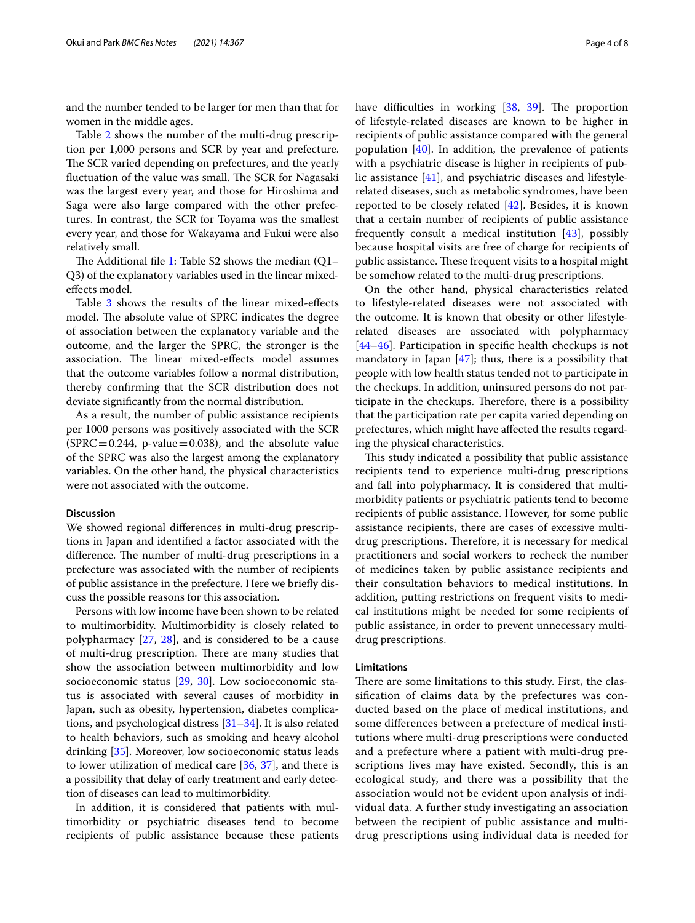and the number tended to be larger for men than that for women in the middle ages.

Table [2](#page-4-0) shows the number of the multi-drug prescription per 1,000 persons and SCR by year and prefecture. The SCR varied depending on prefectures, and the yearly fluctuation of the value was small. The SCR for Nagasaki was the largest every year, and those for Hiroshima and Saga were also large compared with the other prefectures. In contrast, the SCR for Toyama was the smallest every year, and those for Wakayama and Fukui were also relatively small.

The Additional file [1](#page-5-0): Table S2 shows the median  $(Q1 -$ Q3) of the explanatory variables used in the linear mixedefects model.

Table [3](#page-5-1) shows the results of the linear mixed-effects model. The absolute value of SPRC indicates the degree of association between the explanatory variable and the outcome, and the larger the SPRC, the stronger is the association. The linear mixed-effects model assumes that the outcome variables follow a normal distribution, thereby confrming that the SCR distribution does not deviate signifcantly from the normal distribution.

As a result, the number of public assistance recipients per 1000 persons was positively associated with the SCR  $(SPRC = 0.244, p-value = 0.038)$ , and the absolute value of the SPRC was also the largest among the explanatory variables. On the other hand, the physical characteristics were not associated with the outcome.

#### **Discussion**

We showed regional diferences in multi-drug prescriptions in Japan and identifed a factor associated with the difference. The number of multi-drug prescriptions in a prefecture was associated with the number of recipients of public assistance in the prefecture. Here we briefy discuss the possible reasons for this association.

Persons with low income have been shown to be related to multimorbidity. Multimorbidity is closely related to polypharmacy [\[27,](#page-6-23) [28\]](#page-6-24), and is considered to be a cause of multi-drug prescription. There are many studies that show the association between multimorbidity and low socioeconomic status [\[29,](#page-6-25) [30\]](#page-6-26). Low socioeconomic status is associated with several causes of morbidity in Japan, such as obesity, hypertension, diabetes complications, and psychological distress [\[31](#page-6-27)[–34\]](#page-6-28). It is also related to health behaviors, such as smoking and heavy alcohol drinking [[35\]](#page-6-29). Moreover, low socioeconomic status leads to lower utilization of medical care [\[36](#page-6-30), [37](#page-7-0)], and there is a possibility that delay of early treatment and early detection of diseases can lead to multimorbidity.

In addition, it is considered that patients with multimorbidity or psychiatric diseases tend to become recipients of public assistance because these patients have difficulties in working [[38,](#page-7-1) [39](#page-7-2)]. The proportion of lifestyle-related diseases are known to be higher in recipients of public assistance compared with the general population  $[40]$  $[40]$  $[40]$ . In addition, the prevalence of patients with a psychiatric disease is higher in recipients of public assistance [[41](#page-7-4)], and psychiatric diseases and lifestylerelated diseases, such as metabolic syndromes, have been reported to be closely related [\[42](#page-7-5)]. Besides, it is known that a certain number of recipients of public assistance frequently consult a medical institution [\[43\]](#page-7-6), possibly because hospital visits are free of charge for recipients of public assistance. These frequent visits to a hospital might be somehow related to the multi-drug prescriptions.

On the other hand, physical characteristics related to lifestyle-related diseases were not associated with the outcome. It is known that obesity or other lifestylerelated diseases are associated with polypharmacy [[44–](#page-7-7)[46\]](#page-7-8). Participation in specifc health checkups is not mandatory in Japan  $[47]$  $[47]$ ; thus, there is a possibility that people with low health status tended not to participate in the checkups. In addition, uninsured persons do not participate in the checkups. Therefore, there is a possibility that the participation rate per capita varied depending on prefectures, which might have afected the results regarding the physical characteristics.

This study indicated a possibility that public assistance recipients tend to experience multi-drug prescriptions and fall into polypharmacy. It is considered that multimorbidity patients or psychiatric patients tend to become recipients of public assistance. However, for some public assistance recipients, there are cases of excessive multidrug prescriptions. Therefore, it is necessary for medical practitioners and social workers to recheck the number of medicines taken by public assistance recipients and their consultation behaviors to medical institutions. In addition, putting restrictions on frequent visits to medical institutions might be needed for some recipients of public assistance, in order to prevent unnecessary multidrug prescriptions.

## **Limitations**

There are some limitations to this study. First, the classifcation of claims data by the prefectures was conducted based on the place of medical institutions, and some diferences between a prefecture of medical institutions where multi-drug prescriptions were conducted and a prefecture where a patient with multi-drug prescriptions lives may have existed. Secondly, this is an ecological study, and there was a possibility that the association would not be evident upon analysis of individual data. A further study investigating an association between the recipient of public assistance and multidrug prescriptions using individual data is needed for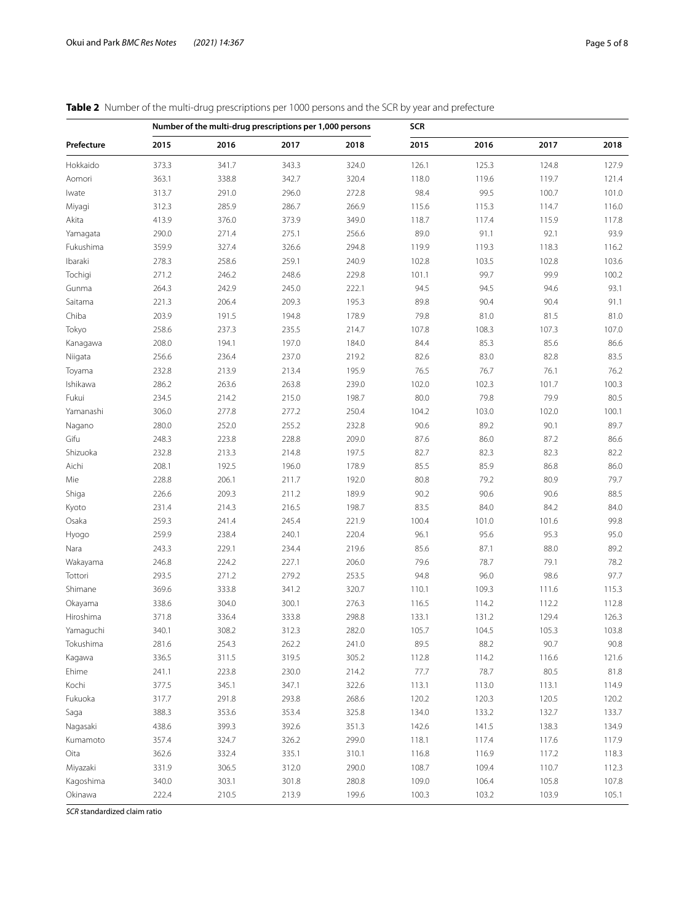<span id="page-4-0"></span>

|            |       | Number of the multi-drug prescriptions per 1,000 persons |       |       | <b>SCR</b> |       |       |       |
|------------|-------|----------------------------------------------------------|-------|-------|------------|-------|-------|-------|
| Prefecture | 2015  | 2016                                                     | 2017  | 2018  | 2015       | 2016  | 2017  | 2018  |
| Hokkaido   | 373.3 | 341.7                                                    | 343.3 | 324.0 | 126.1      | 125.3 | 124.8 | 127.9 |
| Aomori     | 363.1 | 338.8                                                    | 342.7 | 320.4 | 118.0      | 119.6 | 119.7 | 121.4 |
| Iwate      | 313.7 | 291.0                                                    | 296.0 | 272.8 | 98.4       | 99.5  | 100.7 | 101.0 |
| Miyagi     | 312.3 | 285.9                                                    | 286.7 | 266.9 | 115.6      | 115.3 | 114.7 | 116.0 |
| Akita      | 413.9 | 376.0                                                    | 373.9 | 349.0 | 118.7      | 117.4 | 115.9 | 117.8 |
| Yamagata   | 290.0 | 271.4                                                    | 275.1 | 256.6 | 89.0       | 91.1  | 92.1  | 93.9  |
| Fukushima  | 359.9 | 327.4                                                    | 326.6 | 294.8 | 119.9      | 119.3 | 118.3 | 116.2 |
| Ibaraki    | 278.3 | 258.6                                                    | 259.1 | 240.9 | 102.8      | 103.5 | 102.8 | 103.6 |
| Tochigi    | 271.2 | 246.2                                                    | 248.6 | 229.8 | 101.1      | 99.7  | 99.9  | 100.2 |
| Gunma      | 264.3 | 242.9                                                    | 245.0 | 222.1 | 94.5       | 94.5  | 94.6  | 93.1  |
| Saitama    | 221.3 | 206.4                                                    | 209.3 | 195.3 | 89.8       | 90.4  | 90.4  | 91.1  |
| Chiba      | 203.9 | 191.5                                                    | 194.8 | 178.9 | 79.8       | 81.0  | 81.5  | 81.0  |
| Tokyo      | 258.6 | 237.3                                                    | 235.5 | 214.7 | 107.8      | 108.3 | 107.3 | 107.0 |
| Kanagawa   | 208.0 | 194.1                                                    | 197.0 | 184.0 | 84.4       | 85.3  | 85.6  | 86.6  |
| Niigata    | 256.6 | 236.4                                                    | 237.0 | 219.2 | 82.6       | 83.0  | 82.8  | 83.5  |
| Toyama     | 232.8 | 213.9                                                    | 213.4 | 195.9 | 76.5       | 76.7  | 76.1  | 76.2  |
| Ishikawa   | 286.2 | 263.6                                                    | 263.8 | 239.0 | 102.0      | 102.3 | 101.7 | 100.3 |
| Fukui      | 234.5 | 214.2                                                    | 215.0 | 198.7 | 80.0       | 79.8  | 79.9  | 80.5  |
| Yamanashi  | 306.0 | 277.8                                                    | 277.2 | 250.4 | 104.2      | 103.0 | 102.0 | 100.1 |
| Nagano     | 280.0 | 252.0                                                    | 255.2 | 232.8 | 90.6       | 89.2  | 90.1  | 89.7  |
| Gifu       | 248.3 | 223.8                                                    | 228.8 | 209.0 | 87.6       | 86.0  | 87.2  | 86.6  |
| Shizuoka   | 232.8 | 213.3                                                    | 214.8 | 197.5 | 82.7       | 82.3  | 82.3  | 82.2  |
| Aichi      | 208.1 | 192.5                                                    | 196.0 | 178.9 | 85.5       | 85.9  | 86.8  | 86.0  |
| Mie        | 228.8 | 206.1                                                    | 211.7 | 192.0 | 80.8       | 79.2  | 80.9  | 79.7  |
| Shiga      | 226.6 | 209.3                                                    | 211.2 | 189.9 | 90.2       | 90.6  | 90.6  | 88.5  |
| Kyoto      | 231.4 | 214.3                                                    | 216.5 | 198.7 | 83.5       | 84.0  | 84.2  | 84.0  |
| Osaka      | 259.3 | 241.4                                                    | 245.4 | 221.9 | 100.4      | 101.0 | 101.6 | 99.8  |
| Hyogo      | 259.9 | 238.4                                                    | 240.1 | 220.4 | 96.1       | 95.6  | 95.3  | 95.0  |
| Nara       | 243.3 | 229.1                                                    | 234.4 | 219.6 | 85.6       | 87.1  | 88.0  | 89.2  |
| Wakayama   | 246.8 | 224.2                                                    | 227.1 | 206.0 | 79.6       | 78.7  | 79.1  | 78.2  |
| Tottori    | 293.5 | 271.2                                                    | 279.2 | 253.5 | 94.8       | 96.0  | 98.6  | 97.7  |
| Shimane    | 369.6 | 333.8                                                    | 341.2 | 320.7 | 110.1      | 109.3 | 111.6 | 115.3 |
| Okayama    | 338.6 | 304.0                                                    | 300.1 | 276.3 | 116.5      | 114.2 | 112.2 | 112.8 |
| Hiroshima  | 371.8 | 336.4                                                    | 333.8 | 298.8 | 133.1      | 131.2 | 129.4 | 126.3 |
| Yamaguchi  | 340.1 | 308.2                                                    | 312.3 | 282.0 | 105.7      | 104.5 | 105.3 | 103.8 |
| Tokushima  | 281.6 | 254.3                                                    | 262.2 | 241.0 | 89.5       | 88.2  | 90.7  | 90.8  |
| Kagawa     | 336.5 | 311.5                                                    | 319.5 | 305.2 | 112.8      | 114.2 | 116.6 | 121.6 |
| Ehime      | 241.1 | 223.8                                                    | 230.0 | 214.2 | 77.7       | 78.7  | 80.5  | 81.8  |
| Kochi      | 377.5 | 345.1                                                    | 347.1 | 322.6 | 113.1      | 113.0 | 113.1 | 114.9 |
| Fukuoka    | 317.7 | 291.8                                                    | 293.8 | 268.6 | 120.2      | 120.3 | 120.5 | 120.2 |
| Saga       | 388.3 | 353.6                                                    | 353.4 | 325.8 | 134.0      | 133.2 | 132.7 | 133.7 |
| Nagasaki   | 438.6 | 399.3                                                    | 392.6 | 351.3 | 142.6      | 141.5 | 138.3 | 134.9 |
| Kumamoto   | 357.4 | 324.7                                                    | 326.2 | 299.0 | 118.1      | 117.4 | 117.6 | 117.9 |
| Oita       | 362.6 | 332.4                                                    | 335.1 | 310.1 | 116.8      | 116.9 | 117.2 | 118.3 |
| Miyazaki   | 331.9 | 306.5                                                    | 312.0 | 290.0 | 108.7      | 109.4 | 110.7 | 112.3 |
| Kagoshima  | 340.0 | 303.1                                                    | 301.8 | 280.8 | 109.0      | 106.4 | 105.8 | 107.8 |
| Okinawa    | 222.4 | 210.5                                                    | 213.9 | 199.6 | 100.3      | 103.2 | 103.9 | 105.1 |

*SCR* standardized claim ratio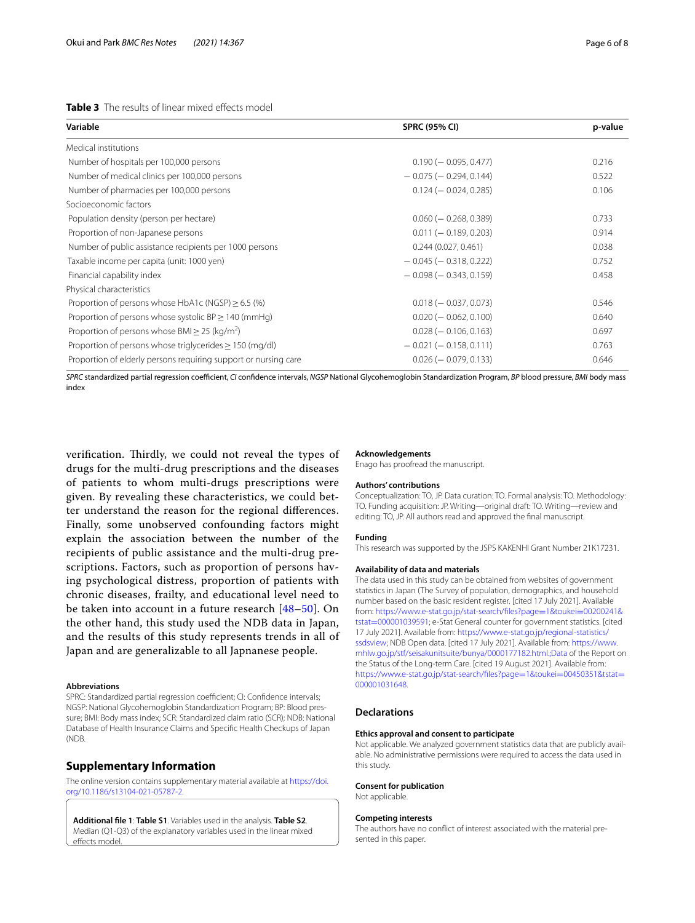# <span id="page-5-1"></span>**Table 3** The results of linear mixed effects model

| Variable                                                        | <b>SPRC (95% CI)</b>         | p-value |
|-----------------------------------------------------------------|------------------------------|---------|
| Medical institutions                                            |                              |         |
| Number of hospitals per 100,000 persons                         | $0.190 (-0.095, 0.477)$      | 0.216   |
| Number of medical clinics per 100,000 persons                   | $-0.075$ ( $-0.294$ , 0.144) | 0.522   |
| Number of pharmacies per 100,000 persons                        | $0.124 (-0.024, 0.285)$      | 0.106   |
| Socioeconomic factors                                           |                              |         |
| Population density (person per hectare)                         | $0.060$ ( $-0.268, 0.389$ )  | 0.733   |
| Proportion of non-Japanese persons                              | $0.011 (-0.189, 0.203)$      | 0.914   |
| Number of public assistance recipients per 1000 persons         | 0.244(0.027, 0.461)          | 0.038   |
| Taxable income per capita (unit: 1000 yen)                      | $-0.045$ ( $-0.318$ , 0.222) | 0.752   |
| Financial capability index                                      | $-0.098$ ( $-0.343$ , 0.159) | 0.458   |
| Physical characteristics                                        |                              |         |
| Proportion of persons whose HbA1c (NGSP) $\geq$ 6.5 (%)         | $0.018 (-0.037, 0.073)$      | 0.546   |
| Proportion of persons whose systolic $BP \ge 140$ (mmHg)        | $0.020 (-0.062, 0.100)$      | 0.640   |
| Proportion of persons whose BMI $>$ 25 (kg/m <sup>2</sup> )     | $0.028 (-0.106, 0.163)$      | 0.697   |
| Proportion of persons whose triglycerides $\geq$ 150 (mg/dl)    | $-0.021$ ( $-0.158$ , 0.111) | 0.763   |
| Proportion of elderly persons requiring support or nursing care | $0.026$ ( $-0.079, 0.133$ )  | 0.646   |
|                                                                 |                              |         |

*SPRC* standardized partial regression coefcient, *CI* confdence intervals, *NGSP* National Glycohemoglobin Standardization Program, *BP* blood pressure, *BMI* body mass index

verification. Thirdly, we could not reveal the types of drugs for the multi-drug prescriptions and the diseases of patients to whom multi-drugs prescriptions were given. By revealing these characteristics, we could better understand the reason for the regional diferences. Finally, some unobserved confounding factors might explain the association between the number of the recipients of public assistance and the multi-drug prescriptions. Factors, such as proportion of persons having psychological distress, proportion of patients with chronic diseases, frailty, and educational level need to be taken into account in a future research [\[48](#page-7-10)[–50\]](#page-7-11). On the other hand, this study used the NDB data in Japan, and the results of this study represents trends in all of Japan and are generalizable to all Japnanese people.

#### **Abbreviations**

SPRC: Standardized partial regression coefficient; CI: Confidence intervals; NGSP: National Glycohemoglobin Standardization Program; BP: Blood pressure; BMI: Body mass index; SCR: Standardized claim ratio (SCR); NDB: National Database of Health Insurance Claims and Specifc Health Checkups of Japan (NDB.

#### **Supplementary Information**

The online version contains supplementary material available at [https://doi.](https://doi.org/10.1186/s13104-021-05787-2) [org/10.1186/s13104-021-05787-2](https://doi.org/10.1186/s13104-021-05787-2).

<span id="page-5-0"></span>**Additional fle 1**: **Table S1**. Variables used in the analysis. **Table S2**. Median (Q1-Q3) of the explanatory variables used in the linear mixed effects model.

#### **Acknowledgements**

Enago has proofread the manuscript.

#### **Authors' contributions**

Conceptualization: TO, JP. Data curation: TO. Formal analysis: TO. Methodology: TO. Funding acquisition: JP. Writing—original draft: TO. Writing—review and editing: TO, JP. All authors read and approved the fnal manuscript.

#### **Funding**

This research was supported by the JSPS KAKENHI Grant Number 21K17231.

#### **Availability of data and materials**

The data used in this study can be obtained from websites of government statistics in Japan (The Survey of population, demographics, and household number based on the basic resident register. [cited 17 July 2021]. Available from: [https://www.e-stat.go.jp/stat-search/fles?page](https://www.e-stat.go.jp/stat-search/files?page=1&toukei=00200241&tstat=000001039591)=1&toukei=00200241& tstat=[000001039591;](https://www.e-stat.go.jp/stat-search/files?page=1&toukei=00200241&tstat=000001039591) e-Stat General counter for government statistics. [cited 17 July 2021]. Available from: [https://www.e-stat.go.jp/regional-statistics/](https://www.e-stat.go.jp/regional-statistics/ssdsview) [ssdsview](https://www.e-stat.go.jp/regional-statistics/ssdsview); NDB Open data. [cited 17 July 2021]. Available from: [https://www.](https://www.mhlw.go.jp/stf/seisakunitsuite/bunya/0000177182.html.;Data) [mhlw.go.jp/stf/seisakunitsuite/bunya/0000177182.html.;Data](https://www.mhlw.go.jp/stf/seisakunitsuite/bunya/0000177182.html.;Data) of the Report on the Status of the Long-term Care. [cited 19 August 2021]. Available from: https://www.e-stat.go.jp/stat-search/files?page=1&toukei=00450351&tstat= [000001031648.](https://www.e-stat.go.jp/stat-search/files?page=1&toukei=00450351&tstat=000001031648)

### **Declarations**

#### **Ethics approval and consent to participate**

Not applicable. We analyzed government statistics data that are publicly available. No administrative permissions were required to access the data used in this study.

#### **Consent for publication**

Not applicable.

#### **Competing interests**

The authors have no confict of interest associated with the material presented in this paper.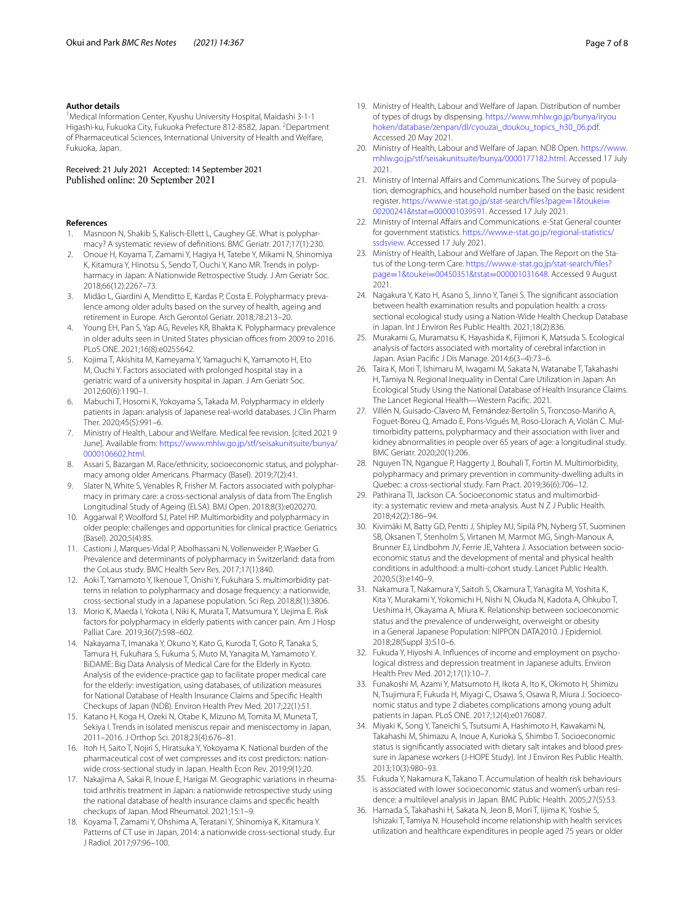#### **Author details**

<sup>1</sup> Medical Information Center, Kyushu University Hospital, Maidashi 3-1-1 Higashi-ku, Fukuoka City, Fukuoka Prefecture 812-8582, Japan. <sup>2</sup>Department of Pharmaceutical Sciences, International University of Health and Welfare, Fukuoka, Japan.

Received: 21 July 2021 Accepted: 14 September 2021 Published online: 20 September 2021

#### **References**

- <span id="page-6-0"></span>Masnoon N, Shakib S, Kalisch-Ellett L, Caughey GE. What is polypharmacy? A systematic review of defnitions. BMC Geriatr. 2017;17(1):230.
- <span id="page-6-1"></span>2. Onoue H, Koyama T, Zamami Y, Hagiya H, Tatebe Y, Mikami N, Shinomiya K, Kitamura Y, Hinotsu S, Sendo T, Ouchi Y, Kano MR. Trends in polypharmacy in Japan: A Nationwide Retrospective Study. J Am Geriatr Soc. 2018;66(12):2267–73.
- <span id="page-6-2"></span>3. Midão L, Giardini A, Menditto E, Kardas P, Costa E. Polypharmacy prevalence among older adults based on the survey of health, ageing and retirement in Europe. Arch Gerontol Geriatr. 2018;78:213–20.
- <span id="page-6-3"></span>4. Young EH, Pan S, Yap AG, Reveles KR, Bhakta K. Polypharmacy prevalence in older adults seen in United States physician offices from 2009 to 2016. PLoS ONE. 2021;16(8):e0255642.
- <span id="page-6-4"></span>5. Kojima T, Akishita M, Kameyama Y, Yamaguchi K, Yamamoto H, Eto M, Ouchi Y. Factors associated with prolonged hospital stay in a geriatric ward of a university hospital in Japan. J Am Geriatr Soc. 2012;60(6):1190–1.
- <span id="page-6-5"></span>6. Mabuchi T, Hosomi K, Yokoyama S, Takada M. Polypharmacy in elderly patients in Japan: analysis of Japanese real-world databases. J Clin Pharm Ther. 2020;45(5):991–6.
- <span id="page-6-6"></span>7. Ministry of Health, Labour and Welfare. Medical fee revision. [cited 2021 9 June]. Available from: [https://www.mhlw.go.jp/stf/seisakunitsuite/bunya/](https://www.mhlw.go.jp/stf/seisakunitsuite/bunya/0000106602.html) [0000106602.html.](https://www.mhlw.go.jp/stf/seisakunitsuite/bunya/0000106602.html)
- <span id="page-6-7"></span>8. Assari S, Bazargan M. Race/ethnicity, socioeconomic status, and polypharmacy among older Americans. Pharmacy (Basel). 2019;7(2):41.
- 9. Slater N, White S, Venables R, Frisher M. Factors associated with polypharmacy in primary care: a cross-sectional analysis of data from The English Longitudinal Study of Ageing (ELSA). BMJ Open. 2018;8(3):e020270.
- 10. Aggarwal P, Woolford SJ, Patel HP. Multimorbidity and polypharmacy in older people: challenges and opportunities for clinical practice. Geriatrics (Basel). 2020;5(4):85.
- <span id="page-6-8"></span>11. Castioni J, Marques-Vidal P, Abolhassani N, Vollenweider P, Waeber G. Prevalence and determinants of polypharmacy in Switzerland: data from the CoLaus study. BMC Health Serv Res. 2017;17(1):840.
- <span id="page-6-9"></span>12. Aoki T, Yamamoto Y, Ikenoue T, Onishi Y, Fukuhara S. multimorbidity patterns in relation to polypharmacy and dosage frequency: a nationwide, cross-sectional study in a Japanese population. Sci Rep. 2018;8(1):3806.
- <span id="page-6-10"></span>13. Morio K, Maeda I, Yokota I, Niki K, Murata T, Matsumura Y, Uejima E. Risk factors for polypharmacy in elderly patients with cancer pain. Am J Hosp Palliat Care. 2019;36(7):598–602.
- <span id="page-6-11"></span>14. Nakayama T, Imanaka Y, Okuno Y, Kato G, Kuroda T, Goto R, Tanaka S, Tamura H, Fukuhara S, Fukuma S, Muto M, Yanagita M, Yamamoto Y. BiDAME: Big Data Analysis of Medical Care for the Elderly in Kyoto. Analysis of the evidence-practice gap to facilitate proper medical care for the elderly: investigation, using databases, of utilization measures for National Database of Health Insurance Claims and Specifc Health Checkups of Japan (NDB). Environ Health Prev Med. 2017;22(1):51.
- <span id="page-6-12"></span>15. Katano H, Koga H, Ozeki N, Otabe K, Mizuno M, Tomita M, Muneta T, Sekiya I. Trends in isolated meniscus repair and meniscectomy in Japan, 2011–2016. J Orthop Sci. 2018;23(4):676–81.
- 16. Itoh H, Saito T, Nojiri S, Hiratsuka Y, Yokoyama K. National burden of the pharmaceutical cost of wet compresses and its cost predictors: nationwide cross-sectional study in Japan. Health Econ Rev. 2019;9(1):20.
- <span id="page-6-13"></span>17. Nakajima A, Sakai R, Inoue E, Harigai M. Geographic variations in rheumatoid arthritis treatment in Japan: a nationwide retrospective study using the national database of health insurance claims and specifc health checkups of Japan. Mod Rheumatol. 2021;15:1–9.
- <span id="page-6-14"></span>18. Koyama T, Zamami Y, Ohshima A, Teratani Y, Shinomiya K, Kitamura Y. Patterns of CT use in Japan, 2014: a nationwide cross-sectional study. Eur J Radiol. 2017;97:96–100.
- <span id="page-6-15"></span>19. Ministry of Health, Labour and Welfare of Japan. Distribution of number of types of drugs by dispensing. [https://www.mhlw.go.jp/bunya/iryou](https://www.mhlw.go.jp/bunya/iryouhoken/database/zenpan/dl/cyouzai_doukou_topics_h30_06.pdf) [hoken/database/zenpan/dl/cyouzai\\_doukou\\_topics\\_h30\\_06.pdf](https://www.mhlw.go.jp/bunya/iryouhoken/database/zenpan/dl/cyouzai_doukou_topics_h30_06.pdf). Accessed 20 May 2021.
- <span id="page-6-16"></span>20. Ministry of Health, Labour and Welfare of Japan. NDB Open. [https://www.](https://www.mhlw.go.jp/stf/seisakunitsuite/bunya/0000177182.html) [mhlw.go.jp/stf/seisakunitsuite/bunya/0000177182.html.](https://www.mhlw.go.jp/stf/seisakunitsuite/bunya/0000177182.html) Accessed 17 July 2021.
- <span id="page-6-17"></span>21. Ministry of Internal Affairs and Communications. The Survey of population, demographics, and household number based on the basic resident register. https://www.e-stat.go.jp/stat-search/files?page=1&toukei= 00200241&tstat=000001039591. Accessed 17 July 2021.
- <span id="page-6-18"></span>22. Ministry of Internal Affairs and Communications. e-Stat General counter for government statistics. [https://www.e-stat.go.jp/regional-statistics/](https://www.e-stat.go.jp/regional-statistics/ssdsview) [ssdsview.](https://www.e-stat.go.jp/regional-statistics/ssdsview) Accessed 17 July 2021.
- <span id="page-6-19"></span>23. Ministry of Health, Labour and Welfare of Japan. The Report on the Status of the Long-term Care. https://www.e-stat.go.jp/stat-search/files? page=1&toukei=[00450351&tstat](https://www.e-stat.go.jp/stat-search/files?page=1&toukei=00450351&tstat=000001031648)=000001031648. Accessed 9 August 2021.
- <span id="page-6-20"></span>24. Nagakura Y, Kato H, Asano S, Jinno Y, Tanei S. The signifcant association between health examination results and population health: a crosssectional ecological study using a Nation-Wide Health Checkup Database in Japan. Int J Environ Res Public Health. 2021;18(2):836.
- <span id="page-6-21"></span>25. Murakami G, Muramatsu K, Hayashida K, Fijimori K, Matsuda S. Ecological analysis of factors associated with mortality of cerebral infarction in Japan. Asian Pacifc J Dis Manage. 2014;6(3–4):73–6.
- <span id="page-6-22"></span>26. Taira K, Mori T, Ishimaru M, Iwagami M, Sakata N, Watanabe T, Takahashi H, Tamiya N. Regional Inequality in Dental Care Utilization in Japan: An Ecological Study Using the National Database of Health Insurance Claims. The Lancet Regional Health—Western Pacifc. 2021.
- <span id="page-6-23"></span>27. Villén N, Guisado-Clavero M, Fernández-Bertolín S, Troncoso-Mariño A, Foguet-Boreu Q, Amado E, Pons-Vigués M, Roso-Llorach A, Violán C. Multimorbidity patterns, polypharmacy and their association with liver and kidney abnormalities in people over 65 years of age: a longitudinal study. BMC Geriatr. 2020;20(1):206.
- <span id="page-6-24"></span>28. Nguyen TN, Ngangue P, Haggerty J, Bouhali T, Fortin M. Multimorbidity, polypharmacy and primary prevention in community-dwelling adults in Quebec: a cross-sectional study. Fam Pract. 2019;36(6):706–12.
- <span id="page-6-25"></span>29. Pathirana TI, Jackson CA. Socioeconomic status and multimorbidity: a systematic review and meta-analysis. Aust N Z J Public Health. 2018;42(2):186–94.
- <span id="page-6-26"></span>30. Kivimäki M, Batty GD, Pentti J, Shipley MJ, Sipilä PN, Nyberg ST, Suominen SB, Oksanen T, Stenholm S, Virtanen M, Marmot MG, Singh-Manoux A, Brunner EJ, Lindbohm JV, Ferrie JE, Vahtera J. Association between socioeconomic status and the development of mental and physical health conditions in adulthood: a multi-cohort study. Lancet Public Health. 2020;5(3):e140–9.
- <span id="page-6-27"></span>31. Nakamura T, Nakamura Y, Saitoh S, Okamura T, Yanagita M, Yoshita K, Kita Y, Murakami Y, Yokomichi H, Nishi N, Okuda N, Kadota A, Ohkubo T, Ueshima H, Okayama A, Miura K. Relationship between socioeconomic status and the prevalence of underweight, overweight or obesity in a General Japanese Population: NIPPON DATA2010. J Epidemiol. 2018;28(Suppl 3):S10–6.
- 32. Fukuda Y, Hiyoshi A. Infuences of income and employment on psychological distress and depression treatment in Japanese adults. Environ Health Prev Med. 2012;17(1):10–7.
- 33. Funakoshi M, Azami Y, Matsumoto H, Ikota A, Ito K, Okimoto H, Shimizu N, Tsujimura F, Fukuda H, Miyagi C, Osawa S, Osawa R, Miura J. Socioeconomic status and type 2 diabetes complications among young adult patients in Japan. PLoS ONE. 2017;12(4):e0176087.
- <span id="page-6-28"></span>34. Miyaki K, Song Y, Taneichi S, Tsutsumi A, Hashimoto H, Kawakami N, Takahashi M, Shimazu A, Inoue A, Kurioka S, Shimbo T. Socioeconomic status is signifcantly associated with dietary salt intakes and blood pressure in Japanese workers (J-HOPE Study). Int J Environ Res Public Health. 2013;10(3):980–93.
- <span id="page-6-29"></span>35. Fukuda Y, Nakamura K, Takano T. Accumulation of health risk behaviours is associated with lower socioeconomic status and women's urban residence: a multilevel analysis in Japan. BMC Public Health. 2005;27(5):53.
- <span id="page-6-30"></span>36. Hamada S, Takahashi H, Sakata N, Jeon B, Mori T, Iijima K, Yoshie S, Ishizaki T, Tamiya N. Household income relationship with health services utilization and healthcare expenditures in people aged 75 years or older